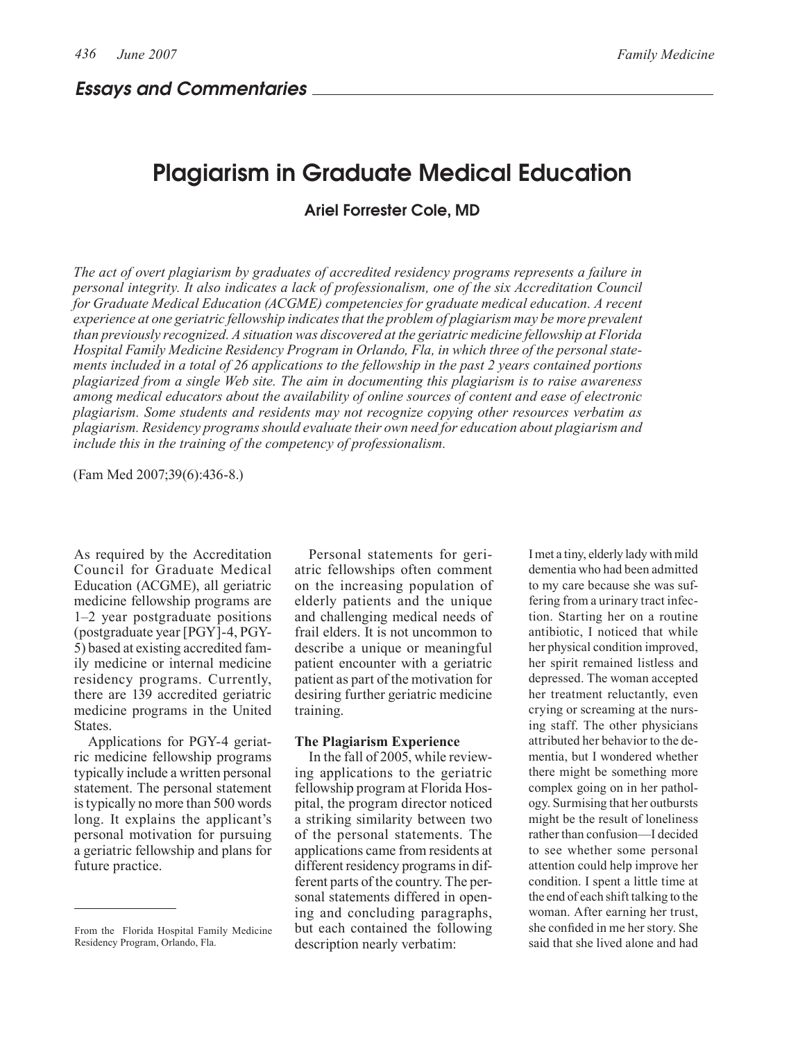Essays and Commentaries

# Plagiarism in Graduate Medical Education

Ariel Forrester Cole, MD

*The act of overt plagiarism by graduates of accredited residency programs represents a failure in personal integrity. It also indicates a lack of professionalism, one of the six Accreditation Council for Graduate Medical Education (ACGME) competencies for graduate medical education. A recent experience at one geriatric fellowship indicates that the problem of plagiarism may be more prevalent than previously recognized. A situation was discovered at the geriatric medicine fellowship at Florida Hospital Family Medicine Residency Program in Orlando, Fla, in which three of the personal statements included in a total of 26 applications to the fellowship in the past 2 years contained portions plagiarized from a single Web site. The aim in documenting this plagiarism is to raise awareness among medical educators about the availability of online sources of content and ease of electronic plagiarism. Some students and residents may not recognize copying other resources verbatim as plagiarism. Residency programs should evaluate their own need for education about plagiarism and include this in the training of the competency of professionalism.*

(Fam Med 2007;39(6):436-8.)

As required by the Accreditation Council for Graduate Medical Education (ACGME), all geriatric medicine fellowship programs are 1–2 year postgraduate positions (postgraduate year [PGY]-4, PGY-5) based at existing accredited family medicine or internal medicine residency programs. Currently, there are 139 accredited geriatric medicine programs in the United States.

Applications for PGY-4 geriatric medicine fellowship programs typically include a written personal statement. The personal statement is typically no more than 500 words long. It explains the applicant's personal motivation for pursuing a geriatric fellowship and plans for future practice.

Personal statements for geriatric fellowships often comment on the increasing population of elderly patients and the unique and challenging medical needs of frail elders. It is not uncommon to describe a unique or meaningful patient encounter with a geriatric patient as part of the motivation for desiring further geriatric medicine training.

#### **The Plagiarism Experience**

In the fall of 2005, while reviewing applications to the geriatric fellowship program at Florida Hospital, the program director noticed a striking similarity between two of the personal statements. The applications came from residents at different residency programs in different parts of the country. The personal statements differed in opening and concluding paragraphs, but each contained the following description nearly verbatim:

I met a tiny, elderly lady with mild dementia who had been admitted to my care because she was suffering from a urinary tract infection. Starting her on a routine antibiotic, I noticed that while her physical condition improved, her spirit remained listless and depressed. The woman accepted her treatment reluctantly, even crying or screaming at the nursing staff. The other physicians attributed her behavior to the dementia, but I wondered whether there might be something more complex going on in her pathology. Surmising that her outbursts might be the result of loneliness rather than confusion—I decided to see whether some personal attention could help improve her condition. I spent a little time at the end of each shift talking to the woman. After earning her trust, she confided in me her story. She said that she lived alone and had

From the Florida Hospital Family Medicine Residency Program, Orlando, Fla.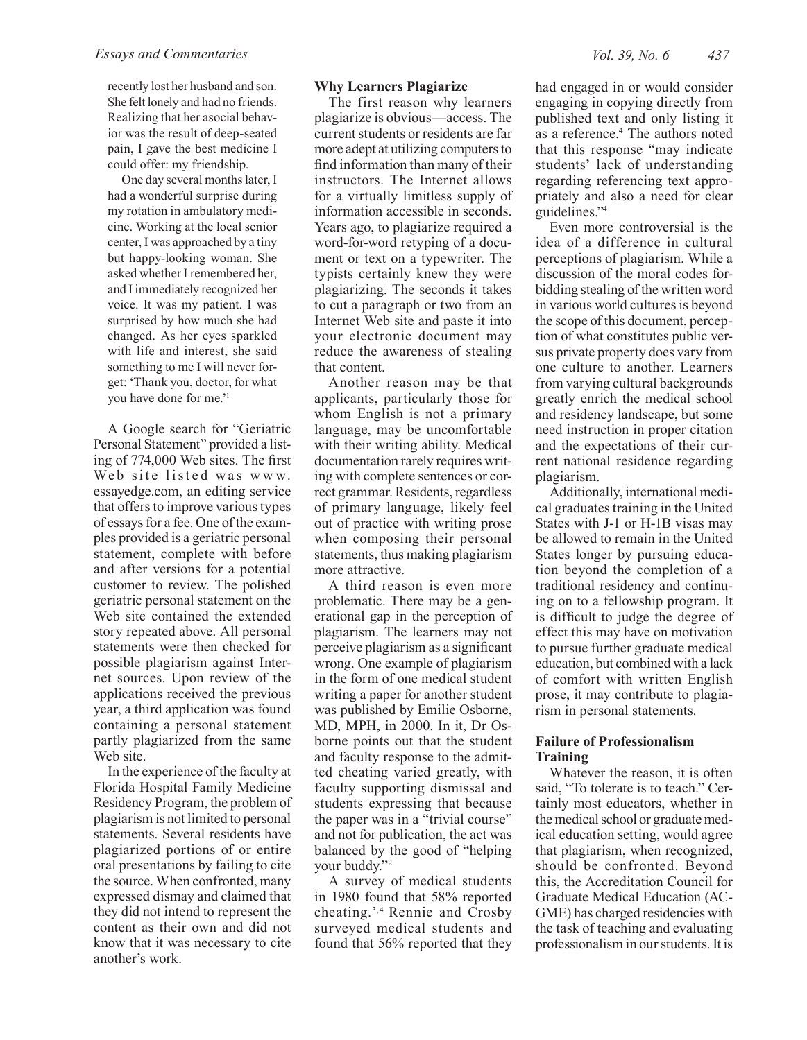recently lost her husband and son. She felt lonely and had no friends. Realizing that her asocial behavior was the result of deep-seated pain, I gave the best medicine I could offer: my friendship.

One day several months later, I had a wonderful surprise during my rotation in ambulatory medicine. Working at the local senior center, I was approached by a tiny but happy-looking woman. She asked whether I remembered her, and I immediately recognized her voice. It was my patient. I was surprised by how much she had changed. As her eyes sparkled with life and interest, she said something to me I will never forget: 'Thank you, doctor, for what you have done for me.'1

A Google search for "Geriatric Personal Statement" provided a listing of 774,000 Web sites. The first Web site listed was www. essayedge.com, an editing service that offers to improve various types of essays for a fee. One of the examples provided is a geriatric personal statement, complete with before and after versions for a potential customer to review. The polished geriatric personal statement on the Web site contained the extended story repeated above. All personal statements were then checked for possible plagiarism against Internet sources. Upon review of the applications received the previous year, a third application was found containing a personal statement partly plagiarized from the same Web site.

In the experience of the faculty at Florida Hospital Family Medicine Residency Program, the problem of plagiarism is not limited to personal statements. Several residents have plagiarized portions of or entire oral presentations by failing to cite the source. When confronted, many expressed dismay and claimed that they did not intend to represent the content as their own and did not know that it was necessary to cite another's work.

#### **Why Learners Plagiarize**

The first reason why learners plagiarize is obvious—access. The current students or residents are far more adept at utilizing computers to find information than many of their instructors. The Internet allows for a virtually limitless supply of information accessible in seconds. Years ago, to plagiarize required a word-for-word retyping of a document or text on a typewriter. The typists certainly knew they were plagiarizing. The seconds it takes to cut a paragraph or two from an Internet Web site and paste it into your electronic document may reduce the awareness of stealing that content.

Another reason may be that applicants, particularly those for whom English is not a primary language, may be uncomfortable with their writing ability. Medical documentation rarely requires writing with complete sentences or correct grammar. Residents, regardless of primary language, likely feel out of practice with writing prose when composing their personal statements, thus making plagiarism more attractive.

A third reason is even more problematic. There may be a generational gap in the perception of plagiarism. The learners may not perceive plagiarism as a significant wrong. One example of plagiarism in the form of one medical student writing a paper for another student was published by Emilie Osborne, MD, MPH, in 2000. In it, Dr Osborne points out that the student and faculty response to the admitted cheating varied greatly, with faculty supporting dismissal and students expressing that because the paper was in a "trivial course" and not for publication, the act was balanced by the good of "helping your buddy."2

A survey of medical students in 1980 found that 58% reported cheating.3,4 Rennie and Crosby surveyed medical students and found that 56% reported that they had engaged in or would consider engaging in copying directly from published text and only listing it as a reference.4 The authors noted that this response "may indicate students' lack of understanding regarding referencing text appropriately and also a need for clear guidelines."4

Even more controversial is the idea of a difference in cultural perceptions of plagiarism. While a discussion of the moral codes forbidding stealing of the written word in various world cultures is beyond the scope of this document, perception of what constitutes public versus private property does vary from one culture to another. Learners from varying cultural backgrounds greatly enrich the medical school and residency landscape, but some need instruction in proper citation and the expectations of their current national residence regarding plagiarism.

Additionally, international medical graduates training in the United States with J-1 or H-1B visas may be allowed to remain in the United States longer by pursuing education beyond the completion of a traditional residency and continuing on to a fellowship program. It is difficult to judge the degree of effect this may have on motivation to pursue further graduate medical education, but combined with a lack of comfort with written English prose, it may contribute to plagiarism in personal statements.

## **Failure of Professionalism Training**

Whatever the reason, it is often said, "To tolerate is to teach." Certainly most educators, whether in the medical school or graduate medical education setting, would agree that plagiarism, when recognized, should be confronted. Beyond this, the Accreditation Council for Graduate Medical Education (AC-GME) has charged residencies with the task of teaching and evaluating professionalism in our students. It is